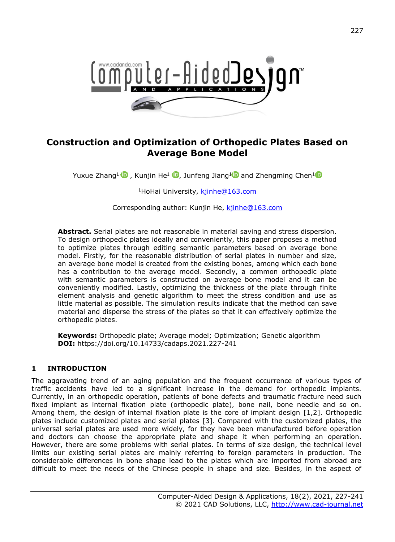

# **Construction and Optimization of Orthopedic Plates Based on Average Bone Model**

YuxueZhang<sup>[1](https://orcid.org/0000-0002-5763-1503)</sup>  $\mathbf 0$  [,](https://orcid.org/0000-0002-0843-858X) Kunjin He<sup>1</sup>  $\mathbf 0$ , Junfeng Jiang<sup>1</sup> and Zhengming Chen<sup>1</sup>

<sup>1</sup>HoHai University, kjinhe@163.com

Corresponding author: Kunjin He, kijnhe@163.com

**Abstract.** Serial plates are not reasonable in material saving and stress dispersion. To design orthopedic plates ideally and conveniently, this paper proposes a method to optimize plates through editing semantic parameters based on average bone model. Firstly, for the reasonable distribution of serial plates in number and size, an average bone model is created from the existing bones, among which each bone has a contribution to the average model. Secondly, a common orthopedic plate with semantic parameters is constructed on average bone model and it can be conveniently modified. Lastly, optimizing the thickness of the plate through finite element analysis and genetic algorithm to meet the stress condition and use as little material as possible. The simulation results indicate that the method can save material and disperse the stress of the plates so that it can effectively optimize the orthopedic plates.

**Keywords:** Orthopedic plate; Average model; Optimization; Genetic algorithm **DOI:** https://doi.org/10.14733/cadaps.2021.227-241

# **1 INTRODUCTION**

The aggravating trend of an aging population and the frequent occurrence of various types of traffic accidents have led to a significant increase in the demand for orthopedic implants. Currently, in an orthopedic operation, patients of bone defects and traumatic fracture need such fixed implant as internal fixation plate (orthopedic plate), bone nail, bone needle and so on. Among them, the design of internal fixation plate is the core of implant design [1,2]. Orthopedic plates include customized plates and serial plates [3]. Compared with the customized plates, the universal serial plates are used more widely, for they have been manufactured before operation and doctors can choose the appropriate plate and shape it when performing an operation. However, there are some problems with serial plates. In terms of size design, the technical level limits our existing serial plates are mainly referring to foreign parameters in production. The considerable differences in bone shape lead to the plates which are imported from abroad are difficult to meet the needs of the Chinese people in shape and size. Besides, in the aspect of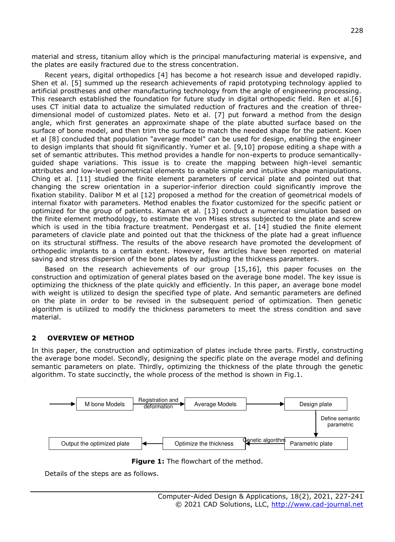material and stress, titanium alloy which is the principal manufacturing material is expensive, and the plates are easily fractured due to the stress concentration.

Recent years, digital orthopedics [4] has become a hot research issue and developed rapidly. Shen et al. [5] summed up the research achievements of rapid prototyping technology applied to artificial prostheses and other manufacturing technology from the angle of engineering processing. This research established the foundation for future study in digital orthopedic field. Ren et al.[6] uses CT initial data to actualize the simulated reduction of fractures and the creation of threedimensional model of customized plates. Neto et al. [7] put forward a method from the design angle, which first generates an approximate shape of the plate abutted surface based on the surface of bone model, and then trim the surface to match the needed shape for the patient. Koen et al [8] concluded that population "average model" can be used for design, enabling the engineer to design implants that should fit significantly. Yumer et al. [9,10] propose editing a shape with a set of semantic attributes. This method provides a handle for non-experts to produce semanticallyguided shape variations. This issue is to create the mapping between high-level semantic attributes and low-level geometrical elements to enable simple and intuitive shape manipulations. Ching et al. [11] studied the finite element parameters of cervical plate and pointed out that changing the screw orientation in a superior-inferior direction could significantly improve the fixation stability. Dalibor M et al [12] proposed a method for the creation of geometrical models of internal fixator with parameters. Method enables the fixator customized for the specific patient or optimized for the group of patients. Kaman et al. [13] conduct a numerical simulation based on the finite element methodology, to estimate the von Mises stress subjected to the plate and screw which is used in the tibia fracture treatment. Pendergast et al. [14] studied the finite element parameters of clavicle plate and pointed out that the thickness of the plate had a great influence on its structural stiffness. The results of the above research have promoted the development of orthopedic implants to a certain extent. However, few articles have been reported on material saving and stress dispersion of the bone plates by adjusting the thickness parameters.

Based on the research achievements of our group [15,16], this paper focuses on the construction and optimization of general plates based on the average bone model. The key issue is optimizing the thickness of the plate quickly and efficiently. In this paper, an average bone model with weight is utilized to design the specified type of plate. And semantic parameters are defined on the plate in order to be revised in the subsequent period of optimization. Then genetic algorithm is utilized to modify the thickness parameters to meet the stress condition and save material.

#### **2 OVERVIEW OF METHOD**

In this paper, the construction and optimization of plates include three parts. Firstly, constructing the average bone model. Secondly, designing the specific plate on the average model and defining semantic parameters on plate. Thirdly, optimizing the thickness of the plate through the genetic algorithm. To state succinctly, the whole process of the method is shown in Fig.1.



**Figure 1:** The flowchart of the method.

Details of the steps are as follows.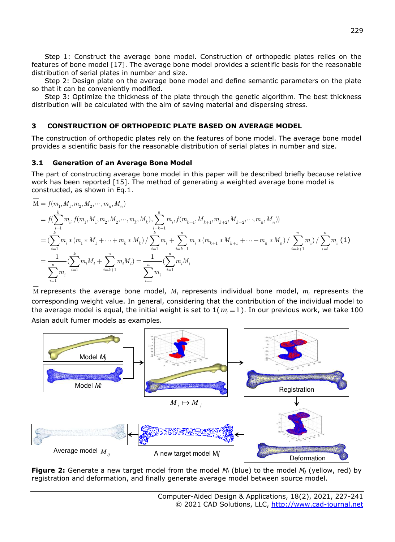Step 1: Construct the average bone model. Construction of orthopedic plates relies on the features of bone model [17]. The average bone model provides a scientific basis for the reasonable distribution of serial plates in number and size.

Step 2: Design plate on the average bone model and define semantic parameters on the plate so that it can be conveniently modified.

Step 3: Optimize the thickness of the plate through the genetic algorithm. The best thickness distribution will be calculated with the aim of saving material and dispersing stress.

## **3 CONSTRUCTION OF ORTHOPEDIC PLATE BASED ON AVERAGE MODEL**

The construction of orthopedic plates rely on the features of bone model. The average bone model provides a scientific basis for the reasonable distribution of serial plates in number and size.

#### **3.1 Generation of an Average Bone Model**

The part of constructing average bone model in this paper will be described briefly because relative work has been reported [15]. The method of generating a weighted average bone model is constructed, as shown in Eq.1.

$$
\begin{split} &\mathbf{M}=f(m_1,M_1,m_2,M_2,\cdots,m_n,M_n)\\ &=f(\sum_{i=1}^k m_i,f(m_1,M_1,m_2,M_2,\cdots,m_k,M_k),\sum_{i=k+1}^n m_i,f(m_{k+1},M_{k+1},m_{k+2},M_{k+2},\cdots,m_n,M_n))\\ &=(\sum_{i=1}^k m_i*(m_1*M_1+\cdots+m_k*M_k)/\sum_{i=1}^k m_i+\sum_{i=k+1}^n m_i*(m_{k+1}*M_{k+1}+\cdots+m_n*M_n)/\sum_{i=k+1}^n m_i)(\sum_{i=1}^n m_i)(\sum_{i=1}^n m_iM_i+\sum_{i=k+1}^n m_iM_i)=\frac{1}{\sum_{i=1}^n m_i}\bigl(\sum_{i=1}^n m_iM_i \end{split} \label{eq:matrix}
$$

<sup>M</sup> represents the average bone model, *M<sup>i</sup>* represents individual bone model, *<sup>m</sup><sup>i</sup>* represents the corresponding weight value. In general, considering that the contribution of the individual model to the average model is equal, the initial weight is set to  $1(m=1)$ . In our previous work, we take 100 Asian adult fumer models as examples.



**Figure 2:** Generate a new target model from the model *Mi* (blue) to the model *Mj* (yellow, red) by registration and deformation, and finally generate average model between source model.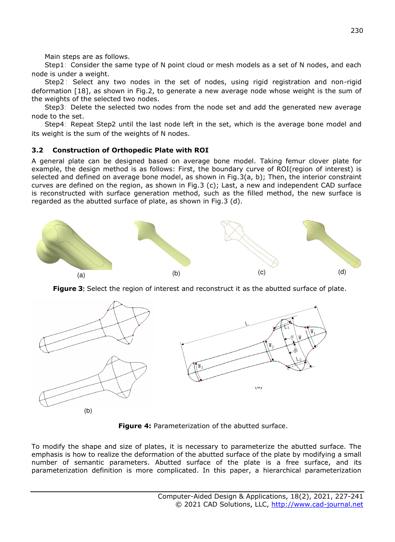Main steps are as follows.

Step1: Consider the same type of N point cloud or mesh models as a set of N nodes, and each node is under a weight.

Step2 : Select any two nodes in the set of nodes, using rigid registration and non-rigid deformation [18], as shown in Fig.2, to generate a new average node whose weight is the sum of the weights of the selected two nodes.

Step3: Delete the selected two nodes from the node set and add the generated new average node to the set.

Step4: Repeat Step2 until the last node left in the set, which is the average bone model and its weight is the sum of the weights of N nodes.

# **3.2 Construction of Orthopedic Plate with ROI**

A general plate can be designed based on average bone model. Taking femur clover plate for example, the design method is as follows: First, the boundary curve of ROI(region of interest) is selected and defined on average bone model, as shown in Fig.3(a, b); Then, the interior constraint curves are defined on the region, as shown in Fig.3 (c); Last, a new and independent CAD surface is reconstructed with surface generation method, such as the filled method, the new surface is regarded as the abutted surface of plate, as shown in Fig.3 (d).



**Figure 3:** Select the region of interest and reconstruct it as the abutted surface of plate.



**Figure 4:** Parameterization of the abutted surface.

To modify the shape and size of plates, it is necessary to parameterize the abutted surface. The emphasis is how to realize the deformation of the abutted surface of the plate by modifying a small number of semantic parameters. Abutted surface of the plate is a free surface, and its parameterization definition is more complicated. In this paper, a hierarchical parameterization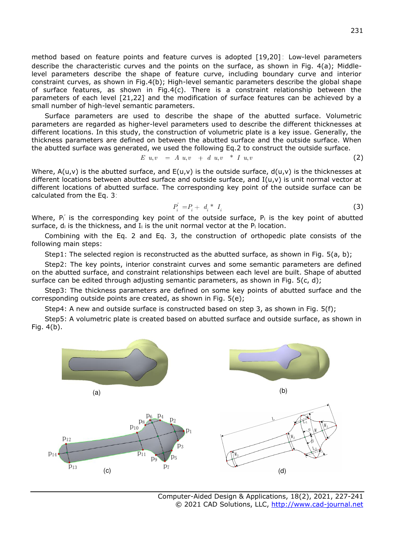method based on feature points and feature curves is adopted [19,20]: Low-level parameters describe the characteristic curves and the points on the surface, as shown in Fig. 4(a); Middlelevel parameters describe the shape of feature curve, including boundary curve and interior constraint curves, as shown in Fig.4(b); High-level semantic parameters describe the global shape of surface features, as shown in Fig.4 $(c)$ . There is a constraint relationship between the parameters of each level [21,22] and the modification of surface features can be achieved by a small number of high-level semantic parameters.

Surface parameters are used to describe the shape of the abutted surface. Volumetric parameters are regarded as higher-level parameters used to describe the different thicknesses at different locations. In this study, the construction of volumetric plate is a key issue. Generally, the thickness parameters are defined on between the abutted surface and the outside surface. When the abutted surface was generated, we used the following Eq.2 to construct the outside surface.

$$
E \, u, v = A \, u, v + d \, u, v * I \, u, v \tag{2}
$$

Where,  $A(u,v)$  is the abutted surface, and  $E(u,v)$  is the outside surface,  $d(u,v)$  is the thicknesses at different locations between abutted surface and outside surface, and  $I(u,v)$  is unit normal vector at different locations of abutted surface. The corresponding key point of the outside surface can be calculated from the Eq. 3:

$$
P_i' = P_i + d_i^* I_i \tag{3}
$$

Where,  $P_i$  is the corresponding key point of the outside surface,  $P_i$  is the key point of abutted surface,  $d_i$  is the thickness, and  $I_i$  is the unit normal vector at the  $P_i$  location.

Combining with the Eq. 2 and Eq. 3, the construction of orthopedic plate consists of the following main steps:

Step1: The selected region is reconstructed as the abutted surface, as shown in Fig. 5(a, b);

Step2: The key points, interior constraint curves and some semantic parameters are defined on the abutted surface, and constraint relationships between each level are built. Shape of abutted surface can be edited through adjusting semantic parameters, as shown in Fig.  $5(c, d)$ ;

Step3: The thickness parameters are defined on some key points of abutted surface and the corresponding outside points are created, as shown in Fig. 5(e);

Step4: A new and outside surface is constructed based on step 3, as shown in Fig. 5(f);

Step5: A volumetric plate is created based on abutted surface and outside surface, as shown in Fig. 4(b).

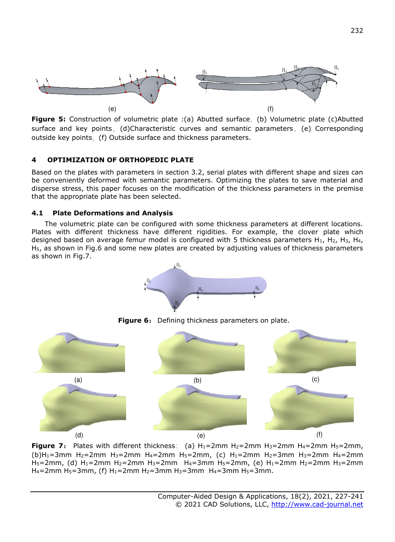

**Figure 5:** Construction of volumetric plate :(a) Abutted surface, (b) Volumetric plate (c)Abutted surface and key points, (d)Characteristic curves and semantic parameters, (e) Corresponding outside key points, (f) Outside surface and thickness parameters.

## **4 OPTIMIZATION OF ORTHOPEDIC PLATE**

Based on the plates with parameters in section 3.2, serial plates with different shape and sizes can be conveniently deformed with semantic parameters. Optimizing the plates to save material and disperse stress, this paper focuses on the modification of the thickness parameters in the premise that the appropriate plate has been selected.

## **4.1 Plate Deformations and Analysis**

The volumetric plate can be configured with some thickness parameters at different locations. Plates with different thickness have different rigidities. For example, the clover plate which designed based on average femur model is configured with 5 thickness parameters  $H_1$ ,  $H_2$ ,  $H_3$ ,  $H_4$ , H5, as shown in Fig.6 and some new plates are created by adjusting values of thickness parameters as shown in Fig.7.





**Figure 6:** Defining thickness parameters on plate.

**Figure 7:** Plates with different thickness: (a)  $H_1 = 2$ mm  $H_2 = 2$ mm  $H_3 = 2$ mm  $H_4 = 2$ mm  $H_5 = 2$ mm, (b)H<sub>1</sub>=3mm H<sub>2</sub>=2mm H<sub>3</sub>=2mm H<sub>4</sub>=2mm H<sub>5</sub>=2mm, (c) H<sub>1</sub>=2mm H<sub>2</sub>=3mm H<sub>3</sub>=2mm H<sub>4</sub>=2mm H5=2mm, (d) H1=2mm H2=2mm H3=2mm H4=3mm H5=2mm, (e) H1=2mm H2=2mm H3=2mm H<sub>4</sub>=2mm H<sub>5</sub>=3mm, (f) H<sub>1</sub>=2mm H<sub>2</sub>=3mm H<sub>3</sub>=3mm H<sub>4</sub>=3mm H<sub>5</sub>=3mm.

(e)

(d)  $(e)$  (f)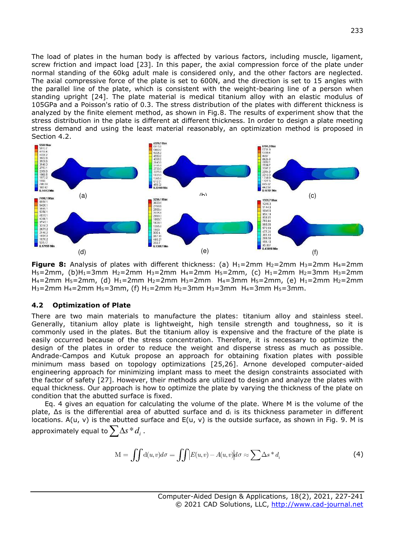The load of plates in the human body is affected by various factors, including muscle, ligament, screw friction and impact load [23]. In this paper, the axial compression force of the plate under normal standing of the 60kg adult male is considered only, and the other factors are neglected. The axial compressive force of the plate is set to 600N, and the direction is set to 15 angles with the parallel line of the plate, which is consistent with the weight-bearing line of a person when standing upright [24]. The plate material is medical titanium alloy with an elastic modulus of 105GPa and a Poisson's ratio of 0.3. The stress distribution of the plates with different thickness is analyzed by the finite element method, as shown in Fig.8. The results of experiment show that the stress distribution in the plate is different at different thickness. In order to design a plate meeting stress demand and using the least material reasonably, an optimization method is proposed in Section 4.2.



**Figure 8:** Analysis of plates with different thickness: (a)  $H_1=2$ mm  $H_2=2$ mm  $H_3=2$ mm  $H_4=2$ mm H5=2mm, (b)H1=3mm H2=2mm H3=2mm H4=2mm H5=2mm, (c) H1=2mm H2=3mm H3=2mm H<sub>4</sub>=2mm H<sub>5</sub>=2mm, (d) H<sub>1</sub>=2mm H<sub>2</sub>=2mm H<sub>3</sub>=2mm H<sub>4</sub>=3mm H<sub>5</sub>=2mm, (e) H<sub>1</sub>=2mm H<sub>2</sub>=2mm H<sub>3</sub>=2mm H<sub>4</sub>=2mm H<sub>5</sub>=3mm, (f) H<sub>1</sub>=2mm H<sub>2</sub>=3mm H<sub>3</sub>=3mm H<sub>4</sub>=3mm H<sub>5</sub>=3mm.

#### **4.2 Optimization of Plate**

There are two main materials to manufacture the plates: titanium alloy and stainless steel. Generally, titanium alloy plate is lightweight, high tensile strength and toughness, so it is commonly used in the plates. But the titanium alloy is expensive and the fracture of the plate is easily occurred because of the stress concentration. Therefore, it is necessary to optimize the design of the plates in order to reduce the weight and disperse stress as much as possible. Andrade-Campos and Kutuk propose an approach for obtaining fixation plates with possible minimum mass based on topology optimizations [25,26]. Arnone developed computer-aided engineering approach for minimizing implant mass to meet the design constraints associated with the factor of safety [27]. However, their methods are utilized to design and analyze the plates with equal thickness. Our approach is how to optimize the plate by varying the thickness of the plate on condition that the abutted surface is fixed.

Eq. 4 gives an equation for calculating the volume of the plate. Where M is the volume of the plate, ∆s is the differential area of abutted surface and di is its thickness parameter in different locations. A(u, v) is the abutted surface and E(u, v) is the outside surface, as shown in Fig. 9. M is approximately equal to  $\sum\Delta s^*d_i$  .

$$
M = \iint d(u, v)d\sigma = \iint |E(u, v) - A(u, v)|d\sigma \approx \sum \Delta s^* d_i
$$
 (4)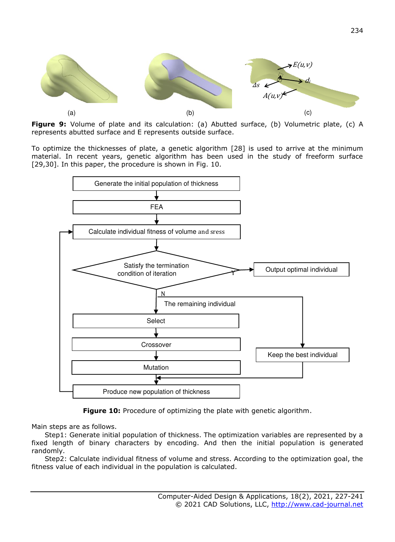

**Figure 9:** Volume of plate and its calculation: (a) Abutted surface, (b) Volumetric plate, (c) A represents abutted surface and E represents outside surface.

To optimize the thicknesses of plate, a genetic algorithm [28] is used to arrive at the minimum material. In recent years, genetic algorithm has been used in the study of freeform surface [29,30]. In this paper, the procedure is shown in Fig. 10.



**Figure 10:** Procedure of optimizing the plate with genetic algorithm.

Main steps are as follows.

Step1: Generate initial population of thickness. The optimization variables are represented by a fixed length of binary characters by encoding. And then the initial population is generated randomly.

Step2: Calculate individual fitness of volume and stress. According to the optimization goal, the fitness value of each individual in the population is calculated.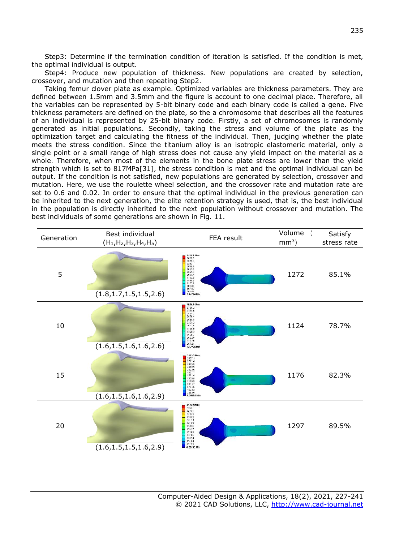Step3: Determine if the termination condition of iteration is satisfied. If the condition is met, the optimal individual is output.

Step4: Produce new population of thickness. New populations are created by selection, crossover, and mutation and then repeating Step2.

Taking femur clover plate as example. Optimized variables are thickness parameters. They are defined between 1.5mm and 3.5mm and the figure is account to one decimal place. Therefore, all the variables can be represented by 5-bit binary code and each binary code is called a gene. Five thickness parameters are defined on the plate, so the a chromosome that describes all the features of an individual is represented by 25-bit binary code. Firstly, a set of chromosomes is randomly generated as initial populations. Secondly, taking the stress and volume of the plate as the optimization target and calculating the fitness of the individual. Then, judging whether the plate meets the stress condition. Since the titanium alloy is an isotropic elastomeric material, only a single point or a small range of high stress does not cause any yield impact on the material as a whole. Therefore, when most of the elements in the bone plate stress are lower than the yield strength which is set to 817MPa[31], the stress condition is met and the optimal individual can be output. If the condition is not satisfied, new populations are generated by selection, crossover and mutation. Here, we use the roulette wheel selection, and the crossover rate and mutation rate are set to 0.6 and 0.02. In order to ensure that the optimal individual in the previous generation can be inherited to the next generation, the elite retention strategy is used, that is, the best individual in the population is directly inherited to the next population without crossover and mutation. The best individuals of some generations are shown in Fig. 11.

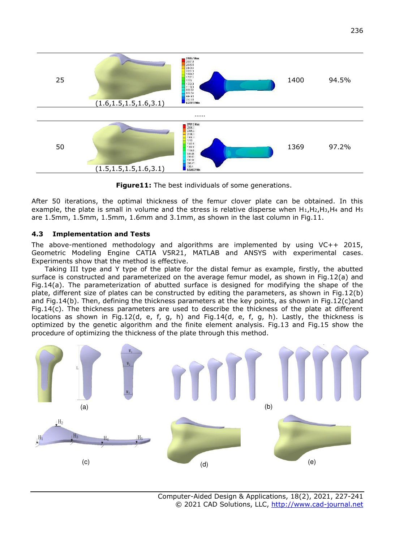

**Figure11:** The best individuals of some generations.

After 50 iterations, the optimal thickness of the femur clover plate can be obtained. In this example, the plate is small in volume and the stress is relative disperse when H1,H2,H3,H4 and H<sup>5</sup> are 1.5mm, 1.5mm, 1.5mm, 1.6mm and 3.1mm, as shown in the last column in Fig.11.

#### **4.3 Implementation and Tests**

The above-mentioned methodology and algorithms are implemented by using VC++ 2015, Geometric Modeling Engine CATIA V5R21, MATLAB and ANSYS with experimental cases. Experiments show that the method is effective.

Taking III type and Y type of the plate for the distal femur as example, firstly, the abutted surface is constructed and parameterized on the average femur model, as shown in Fig.12(a) and Fig.14(a). The parameterization of abutted surface is designed for modifying the shape of the plate, different size of plates can be constructed by editing the parameters, as shown in Fig.12(b) and Fig.14(b). Then, defining the thickness parameters at the key points, as shown in Fig.12(c)and Fig.14(c). The thickness parameters are used to describe the thickness of the plate at different locations as shown in Fig.12(d, e, f, g, h) and Fig.14(d, e, f, g, h). Lastly, the thickness is optimized by the genetic algorithm and the finite element analysis. Fig.13 and Fig.15 show the procedure of optimizing the thickness of the plate through this method.

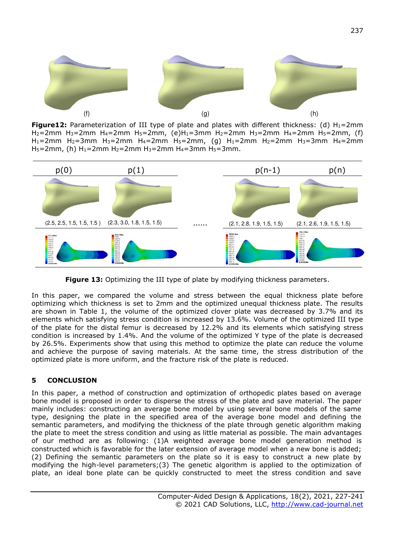

**Figure12:** Parameterization of III type of plate and plates with different thickness: (d)  $H_1$ =2mm H<sub>2</sub>=2mm H<sub>3</sub>=2mm H<sub>4</sub>=2mm H<sub>5</sub>=2mm, (e)H<sub>1</sub>=3mm H<sub>2</sub>=2mm H<sub>3</sub>=2mm H<sub>4</sub>=2mm H<sub>5</sub>=2mm, (f) H1=2mm H2=3mm H3=2mm H4=2mm H5=2mm, (g) H1=2mm H2=2mm H3=3mm H4=2mm  $H_5 = 2$ mm, (h)  $H_1 = 2$ mm  $H_2 = 2$ mm  $H_3 = 2$ mm  $H_4 = 3$ mm  $H_5 = 3$ mm.



**Figure 13:** Optimizing the III type of plate by modifying thickness parameters.

In this paper, we compared the volume and stress between the equal thickness plate before optimizing which thickness is set to 2mm and the optimized unequal thickness plate. The results are shown in Table 1, the volume of the optimized clover plate was decreased by 3.7% and its elements which satisfying stress condition is increased by 13.6%. Volume of the optimized III type of the plate for the distal femur is decreased by 12.2% and its elements which satisfying stress condition is increased by 1.4%. And the volume of the optimized Y type of the plate is decreased by 26.5%. Experiments show that using this method to optimize the plate can reduce the volume and achieve the purpose of saving materials. At the same time, the stress distribution of the optimized plate is more uniform, and the fracture risk of the plate is reduced.

# **5 CONCLUSION**

In this paper, a method of construction and optimization of orthopedic plates based on average bone model is proposed in order to disperse the stress of the plate and save material. The paper mainly includes: constructing an average bone model by using several bone models of the same type, designing the plate in the specified area of the average bone model and defining the semantic parameters, and modifying the thickness of the plate through genetic algorithm making the plate to meet the stress condition and using as little material as possible. The main advantages of our method are as following: (1)A weighted average bone model generation method is constructed which is favorable for the later extension of average model when a new bone is added; (2) Defining the semantic parameters on the plate so it is easy to construct a new plate by modifying the high-level parameters;(3) The genetic algorithm is applied to the optimization of plate, an ideal bone plate can be quickly constructed to meet the stress condition and save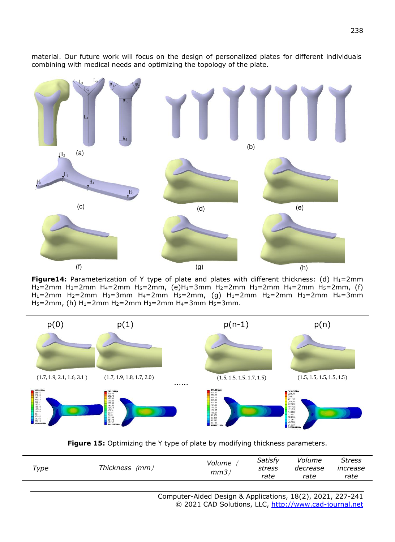

material. Our future work will focus on the design of personalized plates for different individuals combining with medical needs and optimizing the topology of the plate.

**Figure14:** Parameterization of Y type of plate and plates with different thickness: (d)  $H_1=2mm$ H<sub>2</sub>=2mm H<sub>3</sub>=2mm H<sub>4</sub>=2mm H<sub>5</sub>=2mm, (e)H<sub>1</sub>=3mm H<sub>2</sub>=2mm H<sub>3</sub>=2mm H<sub>4</sub>=2mm H<sub>5</sub>=2mm, (f)  $H_1$ =2mm H<sub>2</sub>=2mm H<sub>3</sub>=3mm H<sub>4</sub>=2mm H<sub>5</sub>=2mm, (g) H<sub>1</sub>=2mm H<sub>2</sub>=2mm H<sub>3</sub>=2mm H<sub>4</sub>=3mm H<sub>5</sub>=2mm, (h) H<sub>1</sub>=2mm H<sub>2</sub>=2mm H<sub>3</sub>=2mm H<sub>4</sub>=3mm H<sub>5</sub>=3mm.



Figure 15: Optimizing the Y type of plate by modifying thickness parameters.

| Type | Thickness (mm) | Volume<br>mm3) | Satisfy<br>stress<br>rate | Volume<br>decrease<br>rate | <b>Stress</b><br>increase<br>rate |
|------|----------------|----------------|---------------------------|----------------------------|-----------------------------------|
|      |                |                |                           |                            |                                   |

Computer-Aided Design & Applications, 18(2), 2021, 227-241 © 2021 CAD Solutions, LLC, [http://www.cad-journal.net](http://www.cad-journal.net/)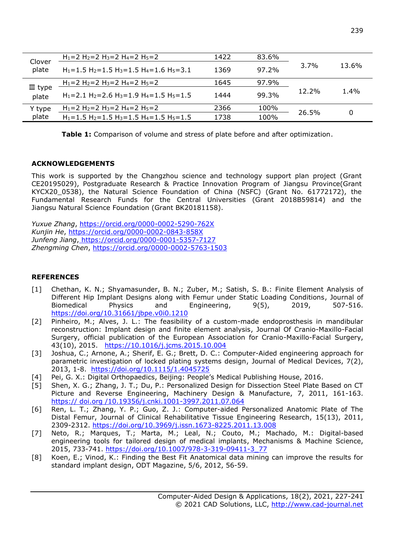| Clover<br>plate             | $H_1 = 2 H_2 = 2 H_3 = 2 H_4 = 2 H_5 = 2$                                                       | 1422 | 83.6% | 3.7%     | 13.6%   |
|-----------------------------|-------------------------------------------------------------------------------------------------|------|-------|----------|---------|
|                             | $H_1 = 1.5$ H <sub>2</sub> = 1.5 H <sub>3</sub> = 1.5 H <sub>4</sub> = 1.6 H <sub>5</sub> = 3.1 | 1369 | 97.2% |          |         |
| $\mathbb{II}$ type<br>plate | $H_1=2 H_2=2 H_3=2 H_4=2 H_5=2$                                                                 | 1645 | 97.9% | $12.2\%$ | $1.4\%$ |
|                             | $H_1 = 2.1 H_2 = 2.6 H_3 = 1.9 H_4 = 1.5 H_5 = 1.5$                                             | 1444 | 99.3% |          |         |
| Y type<br>plate             | $H_1 = 2 H_2 = 2 H_3 = 2 H_4 = 2 H_5 = 2$                                                       | 2366 | 100%  | 26.5%    | 0       |
|                             | $H_1 = 1.5$ H <sub>2</sub> =1.5 H <sub>3</sub> =1.5 H <sub>4</sub> =1.5 H <sub>5</sub> =1.5     | 1738 | 100%  |          |         |

**Table 1:** Comparison of volume and stress of plate before and after optimization.

#### **ACKNOWLEDGEMENTS**

This work is supported by the Changzhou science and technology support plan project (Grant CE20195029), Postgraduate Research & Practice Innovation Program of Jiangsu Province(Grant KYCX20\_0538), the Natural Science Foundation of China (NSFC) (Grant No. 61772172), the Fundamental Research Funds for the Central Universities (Grant 2018B59814) and the Jiangsu Natural Science Foundation (Grant BK20181158).

*Yuxue Zhang*,<https://orcid.org/0000-0002-5290-762X> *Kunjin He*,<https://orcid.org/0000-0002-0843-858X> *Junfeng Jiang*[, https://orcid.org/0000-0001-5357-7127](https://orcid.org/0000-0001-5357-7127) *Zhengming Chen*,<https://orcid.org/0000-0002-5763-1503>

# **REFERENCES**

- [1] Chethan, K. N.; Shyamasunder, B. N.; Zuber, M.; Satish, S. B.: Finite Element Analysis of Different Hip Implant Designs along with Femur under Static Loading Conditions, Journal of Biomedical Physics and Engineering, 9(5), 2019, 507-516. <https://doi.org/10.31661/jbpe.v0i0.1210>
- [2] Pinheiro, M.; Alves, J. L.: The feasibility of a custom-made endoprosthesis in mandibular reconstruction: Implant design and finite element analysis, Journal Of Cranio-Maxillo-Facial Surgery, official publication of the European Association for Cranio-Maxillo-Facial Surgery, 43(10), 2015. https:/[/10.1016/j.jcms.2015.10.004](http://doi.cnki.net/doi/Resolution/Handler?doi=%2010.1016/j.jcms.2015.10.004)
- [3] Joshua, C.; Arnone, A.; Sherif, E. G.; Brett, D. C.: Computer-Aided engineering approach for parametric investigation of locked plating systems design, Journal of Medical Devices, 7(2), 2013, 1-8. https://doi.org/10.1115/1.4045725
- [4] Pei, G. X.: Digital Orthopaedics, Beijing: People's Medical Publishing House, 2016.
- [5] Shen, X. G.; Zhang, J. T.; Du, P.: Personalized Design for Dissection Steel Plate Based on CT Picture and Reverse Engineering, Machinery Design & Manufacture, 7, 2011, 161-163. https:// doi.org /10.19356/j.cnki.1001-3997.2011.07.064
- [6] Ren, L. T.; Zhang, Y. P.; Guo, Z. J.: Computer-aided Personalized Anatomic Plate of The Distal Femur, Journal of Clinical Rehabilitative Tissue Engineering Research, 15(13), 2011, 2309-2312.<https://doi.org/10.3969/j.issn.1673-8225.2011.13.008>
- [7] Neto, R.; Marques, T.; Marta, M.; Leal, N.; Couto, M.; Machado, M.: Digital-based engineering tools for tailored design of medical implants, Mechanisms & Machine Science, 2015, 733-741. [https://doi.org/10.1007/978-3-319-09411-3\\_77](https://doi.org/10.1007/978-3-319-09411-3_77)
- [8] Koen, E.; Vinod, K.: Finding the Best Fit Anatomical data mining can improve the results for standard implant design, ODT Magazine, 5/6, 2012, 56-59.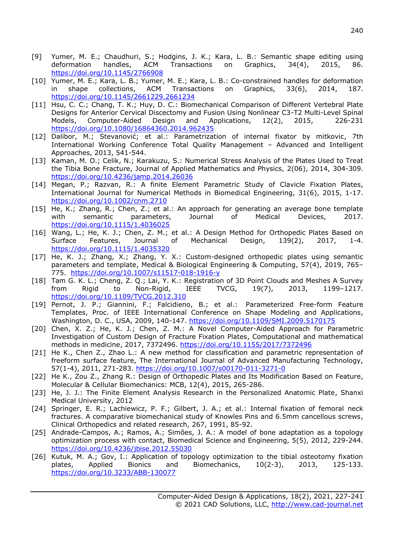- [9] Yumer, M. E.; Chaudhuri, S.; Hodgins, J. K.; Kara, L. B.: Semantic shape editing using deformation handles, ACM Transactions on Graphics, 34(4), 2015, 86. <https://doi.org/10.1145/2766908>
- [10] Yumer, M. E.; Kara, L. B.; Yumer, M. E.; Kara, L. B.: Co-constrained handles for deformation in shape collections, ACM Transactions on Graphics, 33(6), 2014, 187. <https://doi.org/10.1145/2661229.2661234>
- [11] Hsu, C. C.; Chang, T. K.; Huy, D. C.: Biomechanical Comparison of Different Vertebral Plate Designs for Anterior Cervical Discectomy and Fusion Using Nonlinear C3-T2 Multi-Level Spinal Models, Computer-Aided Design and Applications, 12(2), 2015, 226-231 <https://doi.org/10.1080/16864360.2014.962435>
- [12] Dalibor, M.; Stevanović; et al.: Parametrization of internal fixator by mitkovic, 7th International Working Conference Total Quality Management – Advanced and Intelligent Approaches, 2013, 541-544.
- [13] Kaman, M. O.; Celik, N.; Karakuzu, S.: Numerical Stress Analysis of the Plates Used to Treat the Tibia Bone Fracture, Journal of Applied Mathematics and Physics, 2(06), 2014, 304-309. <https://doi.org/10.4236/jamp.2014.26036>
- [14] Megan, P.; Razvan, R.: A finite Element Parametric Study of Clavicle Fixation Plates, International Journal for Numerical Methods in Biomedical Engineering, 31(6), 2015, 1-17. <https://doi.org/10.1002/cnm.2710>
- [15] He, K.; Zhang, R.; Chen, Z.; et al.: An approach for generating an average bone template with semantic parameters, Journal of Medical Devices, 2017[.](https://doi.org/10.1115/1.4036025) <https://doi.org/10.1115/1.4036025>
- [16] Wang, L.; He, K. J.; Chen, Z. M.; et al.: A Design Method for Orthopedic Plates Based on Surface Features, Journal of Mechanical Design, 139(2), 2017, 1-4. <https://doi.org/10.1115/1.4035320>
- [17] He, K. J.; Zhang, X.; Zhang, Y. X.: Custom-designed orthopedic plates using semantic parameters and template, Medical & Biological Engineering & Computing, 57(4), 2019, 765– 775. <https://doi.org/10.1007/s11517-018-1916-y>
- [18] Tam G. K. L.; Cheng, Z. Q.; Lai, Y. K.: Registration of 3D Point Clouds and Meshes A Survey from Rigid to Non-Rigid, IEEE TVCG, 19(7), 2013, 1199–1217. [https://doi.org/10.1109/TVCG.2012.310](http://doi.cnki.net/doi/Resolution/Handler?doi=%2010.1109/TVCG.2012.310)
- [19] Pernot, J. P.; Giannini, F.; Falcidieno, B.; et al.: Parameterized Free-form Feature Templates, Proc. of IEEE International Conference on Shape Modeling and Applications, Washington, D. C., USA, 2009, 140-147. [https://doi.org/10.1109/SMI.2009.5170175](http://d.scholar.cnki.net/link/doi/SPIE_U/SPIE120807462529?UID=WEEvREcwSlJHSldRa1FhcEE0QVN2K0syOVZxUzFiY0JWRFhtd1pvcjVHYz0=$9A4hF_YAuvQ5obgVAqNKPCYcEjKensW4IQMovwHtwkF4VYPoHbKxJw!!)
- [20] Chen, X. Z.; He, K. J.; Chen, Z. M.: A Novel Computer-Aided Approach for Parametric Investigation of Custom Design of Fracture Fixation Plates, Computational and mathematical methods in medicine, 2017, 7372496.<https://doi.org/10.1155/2017/7372496>
- [21] He K., Chen Z., Zhao L.: A new method for classification and parametric representation of freeform surface feature, The International Journal of Advanced Manufacturing Technology, 57(1-4), 2011, 271-283.<https://doi.org/10.1007/s00170-011-3271-0>
- [22] He K., Zou Z., Zhang R.: Design of Orthopedic Plates and Its Modification Based on Feature, Molecular & Cellular Biomechanics: MCB, 12(4), 2015, 265-286.
- [23] He, J. J.: The Finite Element Analysis Research in the Personalized Anatomic Plate, Shanxi Medical University, 2012
- [24] Springer, E. R.; Lachiewicz, P. F.; Gilbert, J. A.; et al.: Internal fixation of femoral neck fractures. A comparative biomechanical study of Knowles Pins and 6.5mm cancellous screws, Clinical Orthopedics and related research, 267, 1991, 85-92.
- [25] Andrade-Campos, A.; Ramos, A.; Simões, J. A.: A model of bone adaptation as a topology optimization process with contact, Biomedical Science and Engineering, 5(5), 2012, 229-244. <https://doi.org/10.4236/jbise.2012.55030>
- [26] Kutuk, M. A.; Gov, I.: Application of topology optimization to the tibial osteotomy fixation plates, Applied Bionics and Biomechanics, 10(2-3), 2013, 125-133. <https://doi.org/10.3233/ABB-130077>